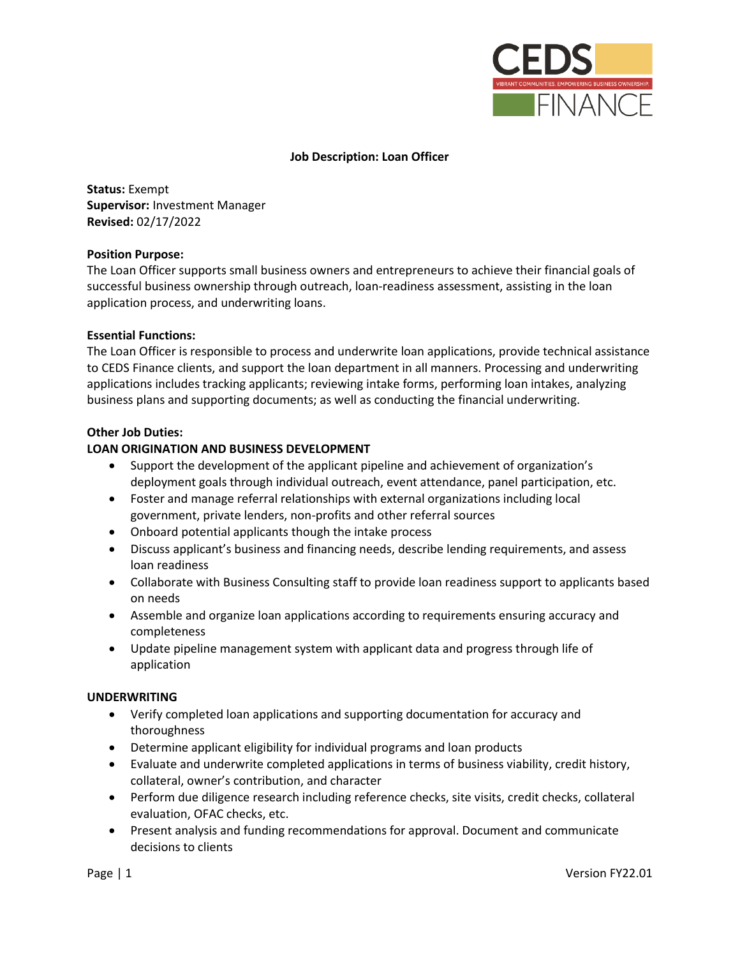

# **Job Description: Loan Officer**

**Status:** Exempt **Supervisor:** Investment Manager **Revised:** 02/17/2022

## **Position Purpose:**

The Loan Officer supports small business owners and entrepreneurs to achieve their financial goals of successful business ownership through outreach, loan-readiness assessment, assisting in the loan application process, and underwriting loans.

## **Essential Functions:**

The Loan Officer is responsible to process and underwrite loan applications, provide technical assistance to CEDS Finance clients, and support the loan department in all manners. Processing and underwriting applications includes tracking applicants; reviewing intake forms, performing loan intakes, analyzing business plans and supporting documents; as well as conducting the financial underwriting.

## **Other Job Duties:**

# **LOAN ORIGINATION AND BUSINESS DEVELOPMENT**

- Support the development of the applicant pipeline and achievement of organization's deployment goals through individual outreach, event attendance, panel participation, etc.
- Foster and manage referral relationships with external organizations including local government, private lenders, non-profits and other referral sources
- Onboard potential applicants though the intake process
- Discuss applicant's business and financing needs, describe lending requirements, and assess loan readiness
- Collaborate with Business Consulting staff to provide loan readiness support to applicants based on needs
- Assemble and organize loan applications according to requirements ensuring accuracy and completeness
- Update pipeline management system with applicant data and progress through life of application

#### **UNDERWRITING**

- Verify completed loan applications and supporting documentation for accuracy and thoroughness
- Determine applicant eligibility for individual programs and loan products
- Evaluate and underwrite completed applications in terms of business viability, credit history, collateral, owner's contribution, and character
- Perform due diligence research including reference checks, site visits, credit checks, collateral evaluation, OFAC checks, etc.
- Present analysis and funding recommendations for approval. Document and communicate decisions to clients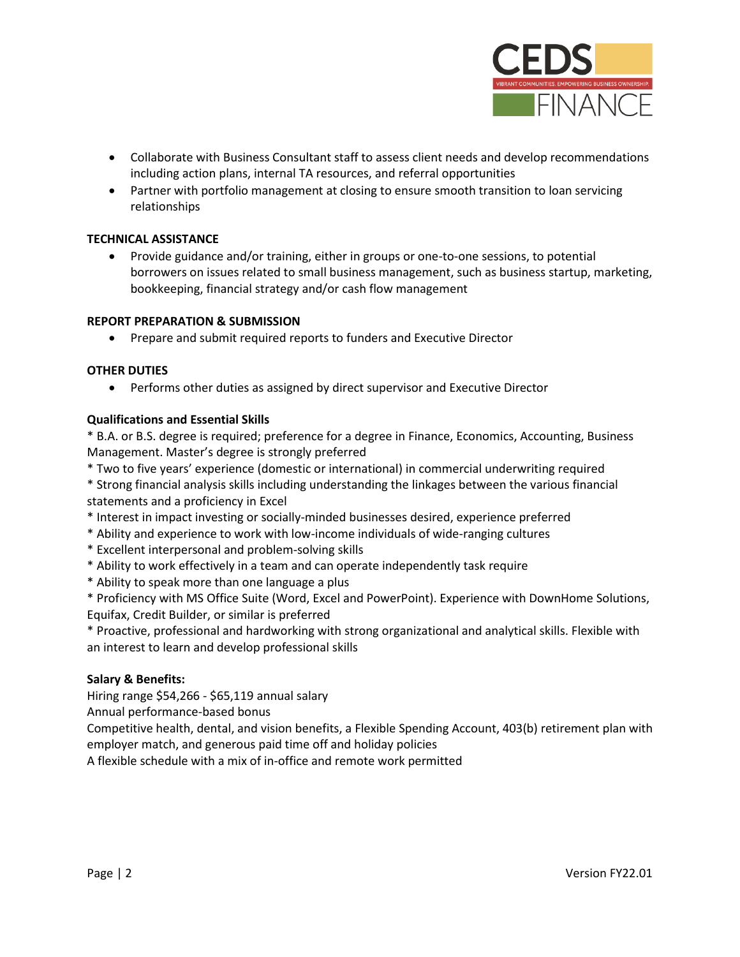

- Collaborate with Business Consultant staff to assess client needs and develop recommendations including action plans, internal TA resources, and referral opportunities
- Partner with portfolio management at closing to ensure smooth transition to loan servicing relationships

## **TECHNICAL ASSISTANCE**

• Provide guidance and/or training, either in groups or one-to-one sessions, to potential borrowers on issues related to small business management, such as business startup, marketing, bookkeeping, financial strategy and/or cash flow management

## **REPORT PREPARATION & SUBMISSION**

• Prepare and submit required reports to funders and Executive Director

## **OTHER DUTIES**

• Performs other duties as assigned by direct supervisor and Executive Director

## **Qualifications and Essential Skills**

\* B.A. or B.S. degree is required; preference for a degree in Finance, Economics, Accounting, Business Management. Master's degree is strongly preferred

- \* Two to five years' experience (domestic or international) in commercial underwriting required
- \* Strong financial analysis skills including understanding the linkages between the various financial statements and a proficiency in Excel
- \* Interest in impact investing or socially-minded businesses desired, experience preferred
- \* Ability and experience to work with low-income individuals of wide-ranging cultures
- \* Excellent interpersonal and problem-solving skills
- \* Ability to work effectively in a team and can operate independently task require
- \* Ability to speak more than one language a plus

\* Proficiency with MS Office Suite (Word, Excel and PowerPoint). Experience with DownHome Solutions, Equifax, Credit Builder, or similar is preferred

\* Proactive, professional and hardworking with strong organizational and analytical skills. Flexible with an interest to learn and develop professional skills

#### **Salary & Benefits:**

Hiring range \$54,266 - \$65,119 annual salary

Annual performance-based bonus

Competitive health, dental, and vision benefits, a Flexible Spending Account, 403(b) retirement plan with employer match, and generous paid time off and holiday policies

A flexible schedule with a mix of in-office and remote work permitted